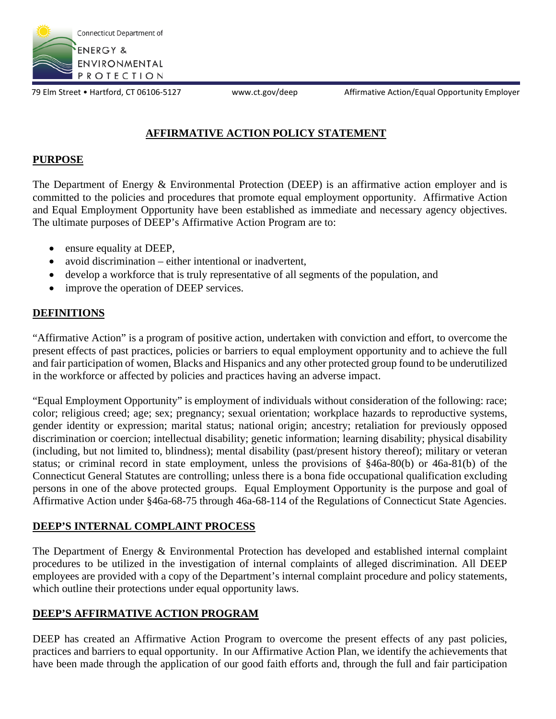

79 Elm Street • Hartford, CT 06106-5127 www.ct.gov/deep Affirmative Action/Equal Opportunity Employer

# **AFFIRMATIVE ACTION POLICY STATEMENT**

## **PURPOSE**

The Department of Energy & Environmental Protection (DEEP) is an affirmative action employer and is committed to the policies and procedures that promote equal employment opportunity. Affirmative Action and Equal Employment Opportunity have been established as immediate and necessary agency objectives. The ultimate purposes of DEEP's Affirmative Action Program are to:

- ensure equality at DEEP,
- avoid discrimination either intentional or inadvertent,
- develop a workforce that is truly representative of all segments of the population, and
- improve the operation of DEEP services.

## **DEFINITIONS**

"Affirmative Action" is a program of positive action, undertaken with conviction and effort, to overcome the present effects of past practices, policies or barriers to equal employment opportunity and to achieve the full and fair participation of women, Blacks and Hispanics and any other protected group found to be underutilized in the workforce or affected by policies and practices having an adverse impact.

"Equal Employment Opportunity" is employment of individuals without consideration of the following: race; color; religious creed; age; sex; pregnancy; sexual orientation; workplace hazards to reproductive systems, gender identity or expression; marital status; national origin; ancestry; retaliation for previously opposed discrimination or coercion; intellectual disability; genetic information; learning disability; physical disability (including, but not limited to, blindness); mental disability (past/present history thereof); military or veteran status; or criminal record in state employment, unless the provisions of §46a-80(b) or 46a-81(b) of the Connecticut General Statutes are controlling; unless there is a bona fide occupational qualification excluding persons in one of the above protected groups. Equal Employment Opportunity is the purpose and goal of Affirmative Action under §46a-68-75 through 46a-68-114 of the Regulations of Connecticut State Agencies.

#### **DEEP'S INTERNAL COMPLAINT PROCESS**

The Department of Energy & Environmental Protection has developed and established internal complaint procedures to be utilized in the investigation of internal complaints of alleged discrimination. All DEEP employees are provided with a copy of the Department's internal complaint procedure and policy statements, which outline their protections under equal opportunity laws.

## **DEEP'S AFFIRMATIVE ACTION PROGRAM**

DEEP has created an Affirmative Action Program to overcome the present effects of any past policies, practices and barriers to equal opportunity. In our Affirmative Action Plan, we identify the achievements that have been made through the application of our good faith efforts and, through the full and fair participation